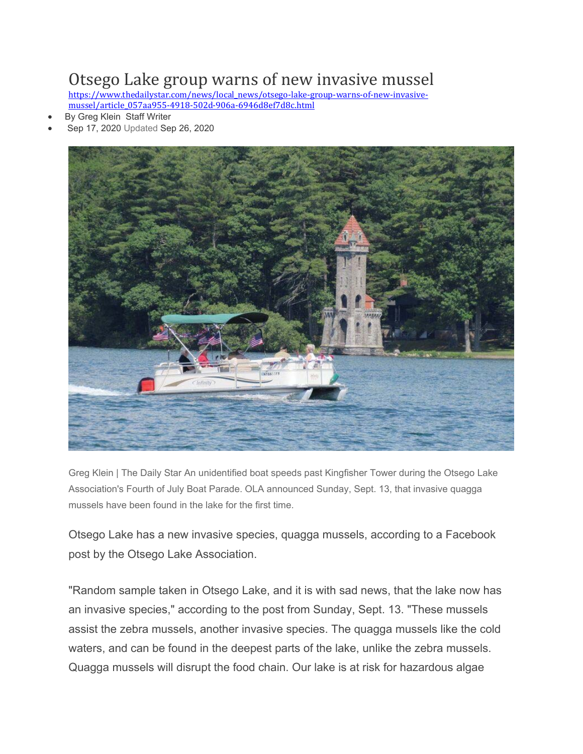## Otsego Lake group warns of new invasive mussel

https://www.thedailystar.com/news/local\_news/otsego-lake-group-warns-of-new-invasivemussel/article\_057aa955-4918-502d-906a-6946d8ef7d8c.html

- By Greg Klein Staff Writer
- Sep 17, 2020 Updated Sep 26, 2020



Greg Klein | The Daily Star An unidentified boat speeds past Kingfisher Tower during the Otsego Lake Association's Fourth of July Boat Parade. OLA announced Sunday, Sept. 13, that invasive quagga mussels have been found in the lake for the first time.

Otsego Lake has a new invasive species, quagga mussels, according to a Facebook post by the Otsego Lake Association.

"Random sample taken in Otsego Lake, and it is with sad news, that the lake now has an invasive species," according to the post from Sunday, Sept. 13. "These mussels assist the zebra mussels, another invasive species. The quagga mussels like the cold waters, and can be found in the deepest parts of the lake, unlike the zebra mussels. Quagga mussels will disrupt the food chain. Our lake is at risk for hazardous algae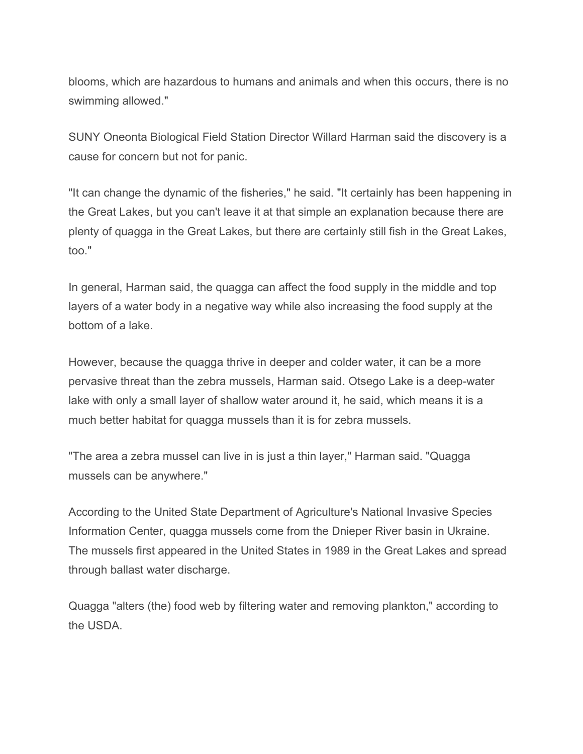blooms, which are hazardous to humans and animals and when this occurs, there is no swimming allowed."

SUNY Oneonta Biological Field Station Director Willard Harman said the discovery is a cause for concern but not for panic.

"It can change the dynamic of the fisheries," he said. "It certainly has been happening in the Great Lakes, but you can't leave it at that simple an explanation because there are plenty of quagga in the Great Lakes, but there are certainly still fish in the Great Lakes, too."

In general, Harman said, the quagga can affect the food supply in the middle and top layers of a water body in a negative way while also increasing the food supply at the bottom of a lake.

However, because the quagga thrive in deeper and colder water, it can be a more pervasive threat than the zebra mussels, Harman said. Otsego Lake is a deep-water lake with only a small layer of shallow water around it, he said, which means it is a much better habitat for quagga mussels than it is for zebra mussels.

"The area a zebra mussel can live in is just a thin layer," Harman said. "Quagga mussels can be anywhere."

According to the United State Department of Agriculture's National Invasive Species Information Center, quagga mussels come from the Dnieper River basin in Ukraine. The mussels first appeared in the United States in 1989 in the Great Lakes and spread through ballast water discharge.

Quagga "alters (the) food web by filtering water and removing plankton," according to the USDA.